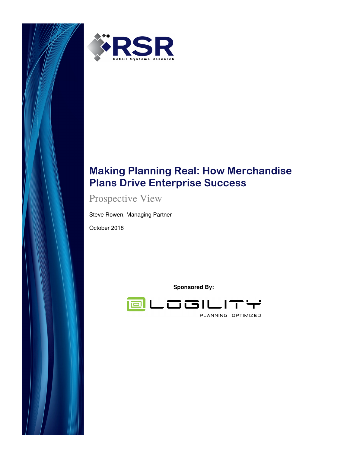



# **Making Planning Real: How Merchandise Plans Drive Enterprise Success**

Prospective View

Steve Rowen, Managing Partner

October 2018

**Sponsored By:** 

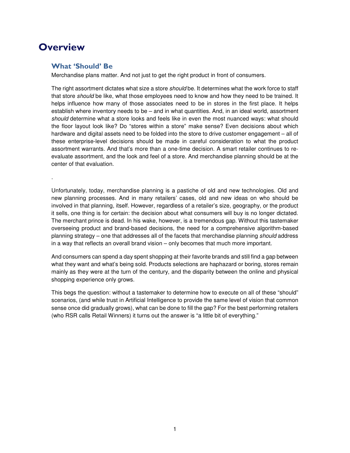# **Overview**

.

#### **What 'Should' Be**

Merchandise plans matter. And not just to get the right product in front of consumers.

The right assortment dictates what size a store should be. It determines what the work force to staff that store should be like, what those employees need to know and how they need to be trained. It helps influence how many of those associates need to be in stores in the first place. It helps establish where inventory needs to be – and in what quantities. And, in an ideal world, assortment should determine what a store looks and feels like in even the most nuanced ways: what should the floor layout look like? Do "stores within a store" make sense? Even decisions about which hardware and digital assets need to be folded into the store to drive customer engagement – all of these enterprise-level decisions should be made in careful consideration to what the product assortment warrants. And that's more than a one-time decision. A smart retailer continues to reevaluate assortment, and the look and feel of a store. And merchandise planning should be at the center of that evaluation.

Unfortunately, today, merchandise planning is a pastiche of old and new technologies. Old and new planning processes. And in many retailers' cases, old and new ideas on who should be involved in that planning, itself. However, regardless of a retailer's size, geography, or the product it sells, one thing is for certain: the decision about what consumers will buy is no longer dictated. The merchant prince is dead. In his wake, however, is a tremendous gap. Without this tastemaker overseeing product and brand-based decisions, the need for a comprehensive algorithm-based planning strategy – one that addresses all of the facets that merchandise planning should address in a way that reflects an overall brand vision – only becomes that much more important.

And consumers can spend a day spent shopping at their favorite brands and still find a gap between what they want and what's being sold. Products selections are haphazard or boring, stores remain mainly as they were at the turn of the century, and the disparity between the online and physical shopping experience only grows.

This begs the question: without a tastemaker to determine how to execute on all of these "should" scenarios, (and while trust in Artificial Intelligence to provide the same level of vision that common sense once did gradually grows), what can be done to fill the gap? For the best performing retailers (who RSR calls Retail Winners) it turns out the answer is "a little bit of everything."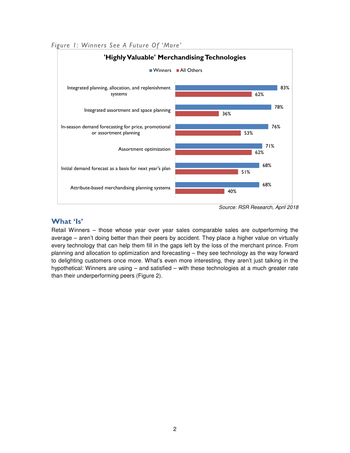

*Figure 1: Winners See A Future Of 'More'* 

Source: RSR Research, April 2018

### **What 'Is'**

Retail Winners – those whose year over year sales comparable sales are outperforming the average – aren't doing better than their peers by accident. They place a higher value on virtually every technology that can help them fill in the gaps left by the loss of the merchant prince. From planning and allocation to optimization and forecasting – they see technology as the way forward to delighting customers once more. What's even more interesting, they aren't just talking in the hypothetical: Winners are using – and satisfied – with these technologies at a much greater rate than their underperforming peers (Figure 2).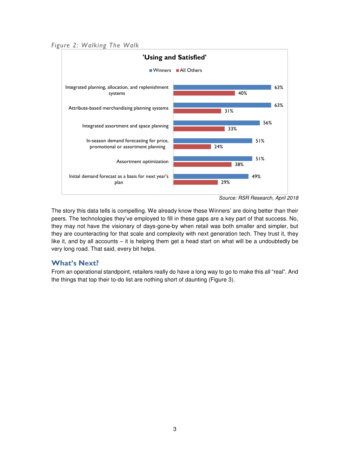*Figure 2: Walking The Walk* 



Source: RSR Research, April 2018

The story this data tells is compelling. We already know these Winners' are doing better than their peers. The technologies they've employed to fill in these gaps are a key part of that success. No, they may not have the visionary of days-gone-by when retail was both smaller and simpler, but they are counteracting for that scale and complexity with next generation tech. They trust it, they like it, and by all accounts – it is helping them get a head start on what will be a undoubtedly be very long road. That said, every bit helps.

#### **What's Next?**

From an operational standpoint, retailers really do have a long way to go to make this all "real". And the things that top their to-do list are nothing short of daunting (Figure 3).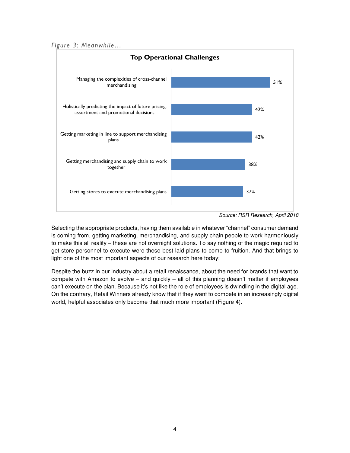*Figure 3: Meanwhile…* 



Source: RSR Research, April 2018

Selecting the appropriate products, having them available in whatever "channel" consumer demand is coming from, getting marketing, merchandising, and supply chain people to work harmoniously to make this all reality – these are not overnight solutions. To say nothing of the magic required to get store personnel to execute were these best-laid plans to come to fruition. And that brings to light one of the most important aspects of our research here today:

Despite the buzz in our industry about a retail renaissance, about the need for brands that want to compete with Amazon to evolve – and quickly – all of this planning doesn't matter if employees can't execute on the plan. Because it's not like the role of employees is dwindling in the digital age. On the contrary, Retail Winners already know that if they want to compete in an increasingly digital world, helpful associates only become that much more important (Figure 4).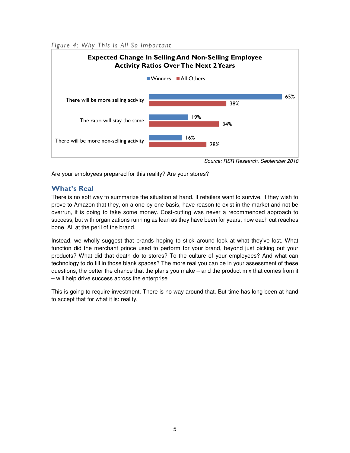*Figure 4: Why This Is All So Important* 



Source: RSR Research, September 2018

Are your employees prepared for this reality? Are your stores?

### **What's Real**

There is no soft way to summarize the situation at hand. If retailers want to survive, if they wish to prove to Amazon that they, on a one-by-one basis, have reason to exist in the market and not be overrun, it is going to take some money. Cost-cutting was never a recommended approach to success, but with organizations running as lean as they have been for years, now each cut reaches bone. All at the peril of the brand.

Instead, we wholly suggest that brands hoping to stick around look at what they've lost. What function did the merchant prince used to perform for your brand, beyond just picking out your products? What did that death do to stores? To the culture of your employees? And what can technology to do fill in those blank spaces? The more real you can be in your assessment of these questions, the better the chance that the plans you make – and the product mix that comes from it – will help drive success across the enterprise.

This is going to require investment. There is no way around that. But time has long been at hand to accept that for what it is: reality.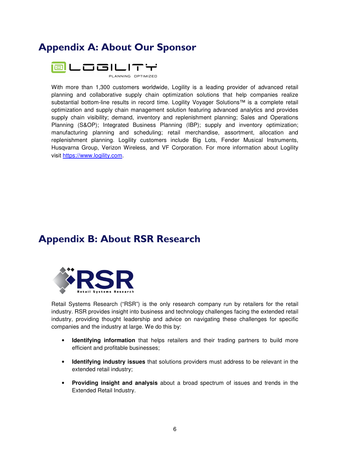## **Appendix A: About Our Sponsor**



With more than 1,300 customers worldwide, Logility is a leading provider of advanced retail planning and collaborative supply chain optimization solutions that help companies realize substantial bottom-line results in record time. Logility Voyager Solutions™ is a complete retail optimization and supply chain management solution featuring advanced analytics and provides supply chain visibility; demand, inventory and replenishment planning; Sales and Operations Planning (S&OP); Integrated Business Planning (IBP); supply and inventory optimization; manufacturing planning and scheduling; retail merchandise, assortment, allocation and replenishment planning. Logility customers include Big Lots, Fender Musical Instruments, Husqvarna Group, Verizon Wireless, and VF Corporation. For more information about Logility visit https://www.logility.com.

### **Appendix B: About RSR Research**



Retail Systems Research ("RSR") is the only research company run by retailers for the retail industry. RSR provides insight into business and technology challenges facing the extended retail industry, providing thought leadership and advice on navigating these challenges for specific companies and the industry at large. We do this by:

- **Identifying information** that helps retailers and their trading partners to build more efficient and profitable businesses;
- **Identifying industry issues** that solutions providers must address to be relevant in the extended retail industry;
- **Providing insight and analysis** about a broad spectrum of issues and trends in the Extended Retail Industry.